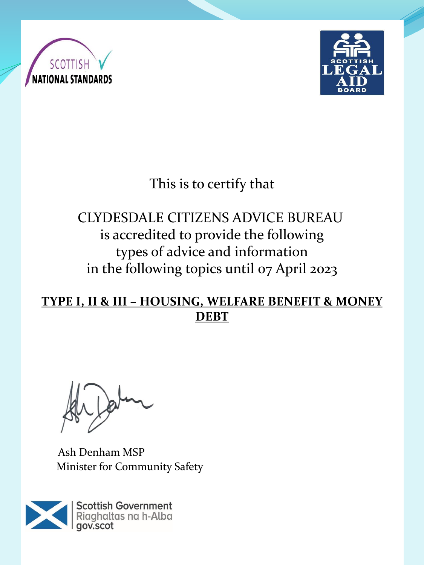



# This is to certify that

# CLYDESDALE CITIZENS ADVICE BUREAU is accredited to provide the following types of advice and information in the following topics until 07 April 2023

#### **TYPE I, II & III – HOUSING, WELFARE BENEFIT & MONEY DEBT**

Ash Denham MSP Minister for Community Safety

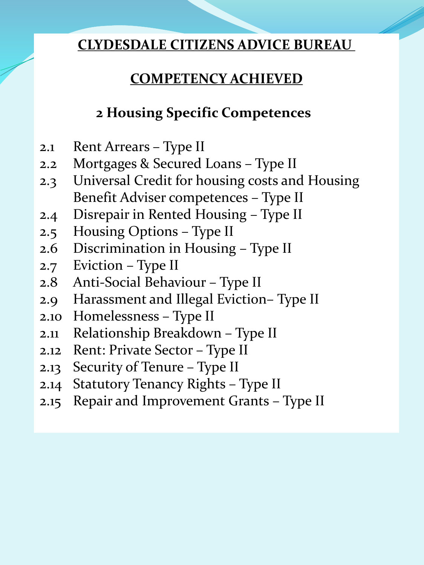# **COMPETENCY ACHIEVED**

# **2 Housing Specific Competences**

- 2.1 Rent Arrears Type II
- 2.2 Mortgages & Secured Loans Type II
- 2.3 Universal Credit for housing costs and Housing Benefit Adviser competences – Type II
- 2.4 Disrepair in Rented Housing Type II
- 2.5 Housing Options Type II
- 2.6 Discrimination in Housing Type II
- 2.7 Eviction Type II
- 2.8 Anti-Social Behaviour Type II
- 2.9 Harassment and Illegal Eviction– Type II
- 2.10 Homelessness Type II
- 2.11 Relationship Breakdown Type II
- 2.12 Rent: Private Sector Type II
- 2.13 Security of Tenure Type II
- 2.14 Statutory Tenancy Rights Type II
- 2.15 Repair and Improvement Grants Type II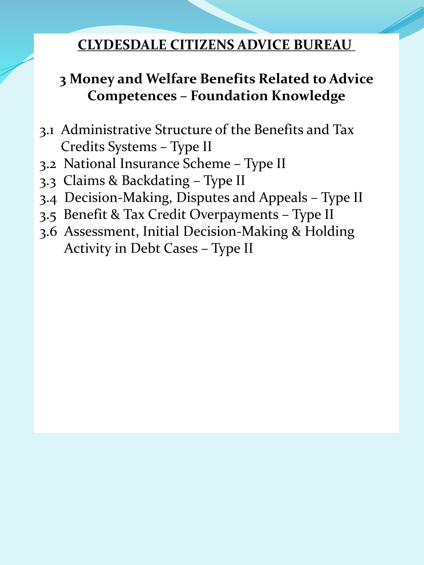### **3 Money and Welfare Benefits Related to Advice Competences – Foundation Knowledge**

- 3.1 Administrative Structure of the Benefits and Tax Credits Systems – Type II
- 3.2 National Insurance Scheme Type II
- 3.3 Claims & Backdating Type II
- 3.4 Decision-Making, Disputes and Appeals Type II
- 3.5 Benefit & Tax Credit Overpayments Type II
- 3.6 Assessment, Initial Decision-Making & Holding Activity in Debt Cases – Type II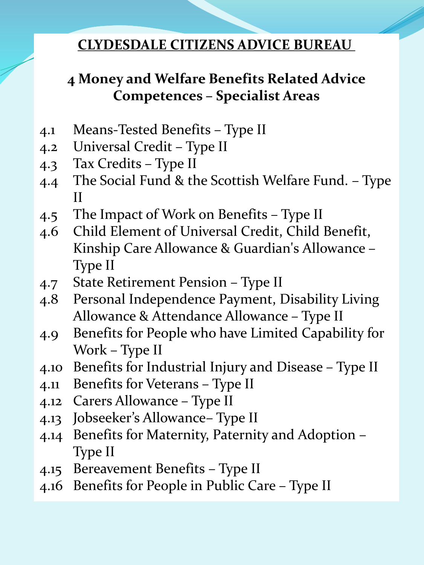# **4 Money and Welfare Benefits Related Advice Competences – Specialist Areas**

- 4.1 Means-Tested Benefits Type II
- 4.2 Universal Credit Type II
- 4.3 Tax Credits Type II
- 4.4 The Social Fund & the Scottish Welfare Fund. Type II
- 4.5 The Impact of Work on Benefits Type II
- 4.6 Child Element of Universal Credit, Child Benefit, Kinship Care Allowance & Guardian's Allowance – Type II
- 4.7 State Retirement Pension Type II
- 4.8 Personal Independence Payment, Disability Living Allowance & Attendance Allowance – Type II
- 4.9 Benefits for People who have Limited Capability for Work – Type II
- 4.10 Benefits for Industrial Injury and Disease Type II
- 4.11 Benefits for Veterans Type II
- 4.12 Carers Allowance Type II
- 4.13 Jobseeker's Allowance– Type II
- 4.14 Benefits for Maternity, Paternity and Adoption Type II
- 4.15 Bereavement Benefits Type II
- 4.16 Benefits for People in Public Care Type II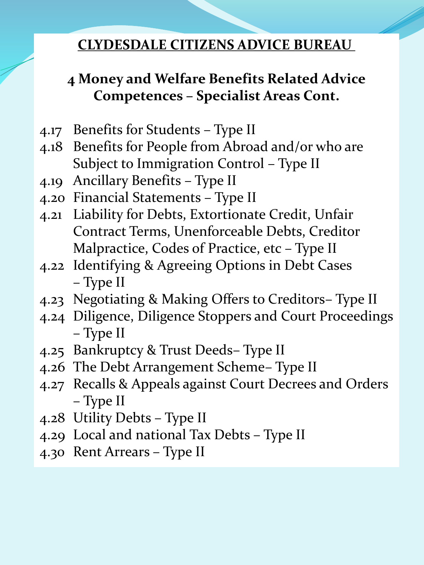# **4 Money and Welfare Benefits Related Advice Competences – Specialist Areas Cont.**

- 4.17 Benefits for Students Type II
- 4.18 Benefits for People from Abroad and/or who are Subject to Immigration Control – Type II
- 4.19 Ancillary Benefits Type II
- 4.20 Financial Statements Type II
- 4.21 Liability for Debts, Extortionate Credit, Unfair Contract Terms, Unenforceable Debts, Creditor Malpractice, Codes of Practice, etc – Type II
- 4.22 Identifying & Agreeing Options in Debt Cases – Type II
- 4.23 Negotiating & Making Offers to Creditors– Type II
- 4.24 Diligence, Diligence Stoppers and Court Proceedings – Type II
- 4.25 Bankruptcy & Trust Deeds– Type II
- 4.26 The Debt Arrangement Scheme– Type II
- 4.27 Recalls & Appeals against Court Decrees and Orders – Type II
- 4.28 Utility Debts Type II
- 4.29 Local and national Tax Debts Type II
- 4.30 Rent Arrears Type II